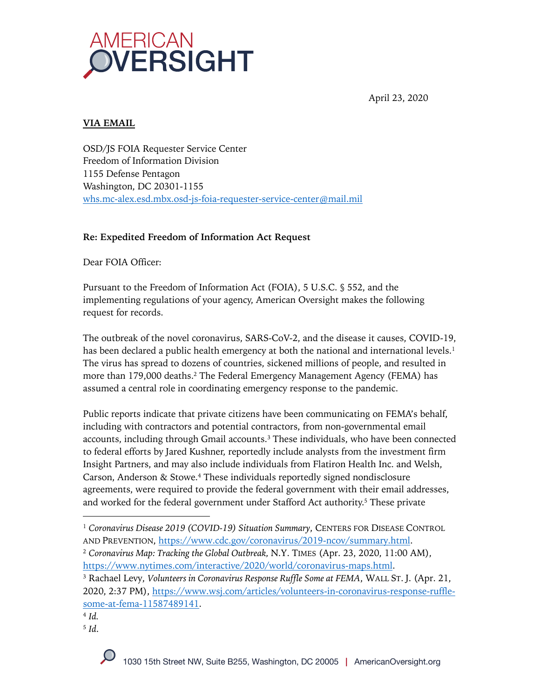

April 23, 2020

## **VIA EMAIL**

OSD/JS FOIA Requester Service Center Freedom of Information Division 1155 Defense Pentagon Washington, DC 20301-1155 whs.mc-alex.esd.mbx.osd-js-foia-requester-service-center@mail.mil

### **Re: Expedited Freedom of Information Act Request**

Dear FOIA Officer:

Pursuant to the Freedom of Information Act (FOIA), 5 U.S.C. § 552, and the implementing regulations of your agency, American Oversight makes the following request for records.

The outbreak of the novel coronavirus, SARS-CoV-2, and the disease it causes, COVID-19, has been declared a public health emergency at both the national and international levels.<sup>1</sup> The virus has spread to dozens of countries, sickened millions of people, and resulted in more than 179,000 deaths.2 The Federal Emergency Management Agency (FEMA) has assumed a central role in coordinating emergency response to the pandemic.

Public reports indicate that private citizens have been communicating on FEMA's behalf, including with contractors and potential contractors, from non-governmental email accounts, including through Gmail accounts.3 These individuals, who have been connected to federal efforts by Jared Kushner, reportedly include analysts from the investment firm Insight Partners, and may also include individuals from Flatiron Health Inc. and Welsh, Carson, Anderson & Stowe.4 These individuals reportedly signed nondisclosure agreements, were required to provide the federal government with their email addresses, and worked for the federal government under Stafford Act authority.<sup>5</sup> These private

<sup>3</sup> Rachael Levy, *Volunteers in Coronavirus Response Ruffle Some at FEMA*, WALL ST. J. (Apr. 21, 2020, 2:37 PM), https://www.wsj.com/articles/volunteers-in-coronavirus-response-rufflesome-at-fema-11587489141.

<sup>5</sup> *Id*.

<sup>1</sup> *Coronavirus Disease 2019 (COVID-19) Situation Summary*, CENTERS FOR DISEASE CONTROL AND PREVENTION, https://www.cdc.gov/coronavirus/2019-ncov/summary.html.

<sup>2</sup> *Coronavirus Map: Tracking the Global Outbreak,* N.Y. TIMES (Apr. 23, 2020, 11:00 AM), https://www.nytimes.com/interactive/2020/world/coronavirus-maps.html.

<sup>4</sup> *Id.*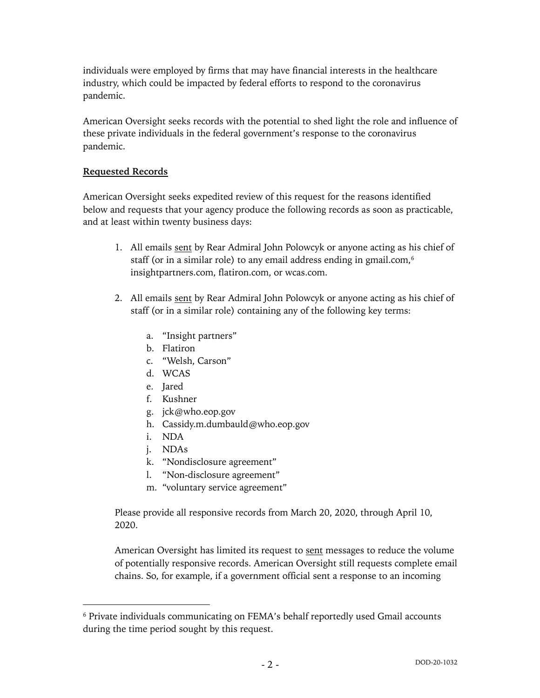individuals were employed by firms that may have financial interests in the healthcare industry, which could be impacted by federal efforts to respond to the coronavirus pandemic.

American Oversight seeks records with the potential to shed light the role and influence of these private individuals in the federal government's response to the coronavirus pandemic.

### **Requested Records**

American Oversight seeks expedited review of this request for the reasons identified below and requests that your agency produce the following records as soon as practicable, and at least within twenty business days:

- 1. All emails sent by Rear Admiral John Polowcyk or anyone acting as his chief of staff (or in a similar role) to any email address ending in gmail.com,<sup>6</sup> insightpartners.com, flatiron.com, or wcas.com.
- 2. All emails sent by Rear Admiral John Polowcyk or anyone acting as his chief of staff (or in a similar role) containing any of the following key terms:
	- a. "Insight partners"
	- b. Flatiron
	- c. "Welsh, Carson"
	- d. WCAS
	- e. Jared
	- f. Kushner
	- g. jck@who.eop.gov
	- h. Cassidy.m.dumbauld@who.eop.gov
	- i. NDA
	- j. NDAs
	- k. "Nondisclosure agreement"
	- l. "Non-disclosure agreement"
	- m. "voluntary service agreement"

Please provide all responsive records from March 20, 2020, through April 10, 2020.

American Oversight has limited its request to sent messages to reduce the volume of potentially responsive records. American Oversight still requests complete email chains. So, for example, if a government official sent a response to an incoming

<sup>6</sup> Private individuals communicating on FEMA's behalf reportedly used Gmail accounts during the time period sought by this request.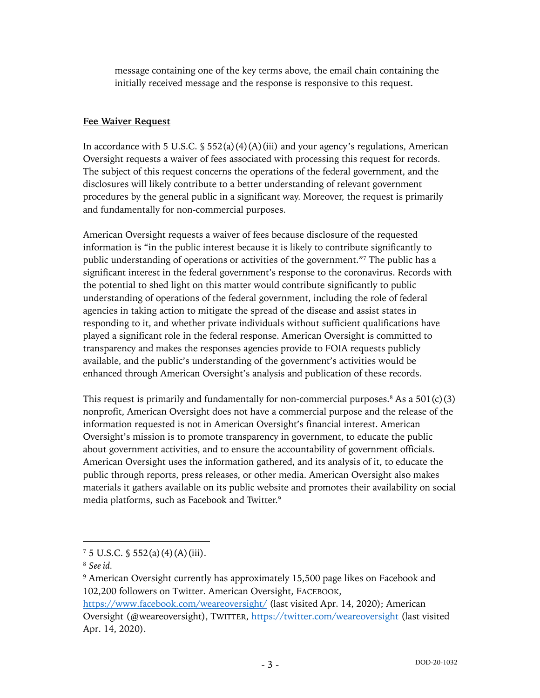message containing one of the key terms above, the email chain containing the initially received message and the response is responsive to this request.

### **Fee Waiver Request**

In accordance with 5 U.S.C.  $\S$  552(a)(4)(A)(iii) and your agency's regulations, American Oversight requests a waiver of fees associated with processing this request for records. The subject of this request concerns the operations of the federal government, and the disclosures will likely contribute to a better understanding of relevant government procedures by the general public in a significant way. Moreover, the request is primarily and fundamentally for non-commercial purposes.

American Oversight requests a waiver of fees because disclosure of the requested information is "in the public interest because it is likely to contribute significantly to public understanding of operations or activities of the government."7 The public has a significant interest in the federal government's response to the coronavirus. Records with the potential to shed light on this matter would contribute significantly to public understanding of operations of the federal government, including the role of federal agencies in taking action to mitigate the spread of the disease and assist states in responding to it, and whether private individuals without sufficient qualifications have played a significant role in the federal response. American Oversight is committed to transparency and makes the responses agencies provide to FOIA requests publicly available, and the public's understanding of the government's activities would be enhanced through American Oversight's analysis and publication of these records.

This request is primarily and fundamentally for non-commercial purposes.<sup>8</sup> As a  $501(c)(3)$ nonprofit, American Oversight does not have a commercial purpose and the release of the information requested is not in American Oversight's financial interest. American Oversight's mission is to promote transparency in government, to educate the public about government activities, and to ensure the accountability of government officials. American Oversight uses the information gathered, and its analysis of it, to educate the public through reports, press releases, or other media. American Oversight also makes materials it gathers available on its public website and promotes their availability on social media platforms, such as Facebook and Twitter.9

 $7\,5\,$  U.S.C. § 552(a)(4)(A)(iii).

<sup>8</sup> *See id.*

<sup>9</sup> American Oversight currently has approximately 15,500 page likes on Facebook and 102,200 followers on Twitter. American Oversight, FACEBOOK,

https://www.facebook.com/weareoversight/ (last visited Apr. 14, 2020); American Oversight (@weareoversight), TWITTER, https://twitter.com/weareoversight (last visited Apr. 14, 2020).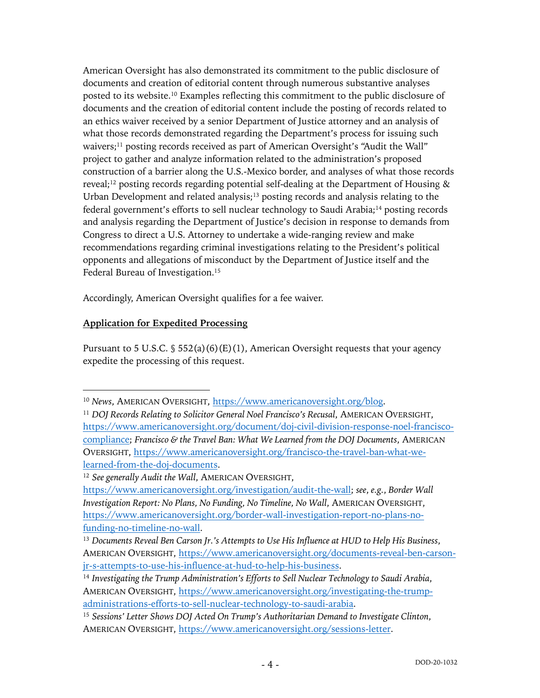American Oversight has also demonstrated its commitment to the public disclosure of documents and creation of editorial content through numerous substantive analyses posted to its website.10 Examples reflecting this commitment to the public disclosure of documents and the creation of editorial content include the posting of records related to an ethics waiver received by a senior Department of Justice attorney and an analysis of what those records demonstrated regarding the Department's process for issuing such waivers;11 posting records received as part of American Oversight's "Audit the Wall" project to gather and analyze information related to the administration's proposed construction of a barrier along the U.S.-Mexico border, and analyses of what those records reveal;<sup>12</sup> posting records regarding potential self-dealing at the Department of Housing  $\&$ Urban Development and related analysis;<sup>13</sup> posting records and analysis relating to the federal government's efforts to sell nuclear technology to Saudi Arabia;14 posting records and analysis regarding the Department of Justice's decision in response to demands from Congress to direct a U.S. Attorney to undertake a wide-ranging review and make recommendations regarding criminal investigations relating to the President's political opponents and allegations of misconduct by the Department of Justice itself and the Federal Bureau of Investigation.15

Accordingly, American Oversight qualifies for a fee waiver.

## **Application for Expedited Processing**

Pursuant to 5 U.S.C.  $\frac{1}{5}$  552(a)(6)(E)(1), American Oversight requests that your agency expedite the processing of this request.

<sup>10</sup> *News*, AMERICAN OVERSIGHT, https://www.americanoversight.org/blog.

<sup>&</sup>lt;sup>11</sup> *DOJ Records Relating to Solicitor General Noel Francisco's Recusal, AMERICAN OVERSIGHT,* https://www.americanoversight.org/document/doj-civil-division-response-noel-franciscocompliance; *Francisco & the Travel Ban: What We Learned from the DOJ Documents*, AMERICAN OVERSIGHT, https://www.americanoversight.org/francisco-the-travel-ban-what-welearned-from-the-doj-documents.

<sup>12</sup> *See generally Audit the Wall*, AMERICAN OVERSIGHT,

https://www.americanoversight.org/investigation/audit-the-wall; *see*, *e.g.*, *Border Wall Investigation Report: No Plans, No Funding, No Timeline, No Wall*, AMERICAN OVERSIGHT, https://www.americanoversight.org/border-wall-investigation-report-no-plans-nofunding-no-timeline-no-wall.

<sup>13</sup> *Documents Reveal Ben Carson Jr.'s Attempts to Use His Influence at HUD to Help His Business*, AMERICAN OVERSIGHT, https://www.americanoversight.org/documents-reveal-ben-carsonjr-s-attempts-to-use-his-influence-at-hud-to-help-his-business.

<sup>14</sup> *Investigating the Trump Administration's Efforts to Sell Nuclear Technology to Saudi Arabia*, AMERICAN OVERSIGHT, https://www.americanoversight.org/investigating-the-trumpadministrations-efforts-to-sell-nuclear-technology-to-saudi-arabia.

<sup>15</sup> *Sessions' Letter Shows DOJ Acted On Trump's Authoritarian Demand to Investigate Clinton*, AMERICAN OVERSIGHT, https://www.americanoversight.org/sessions-letter.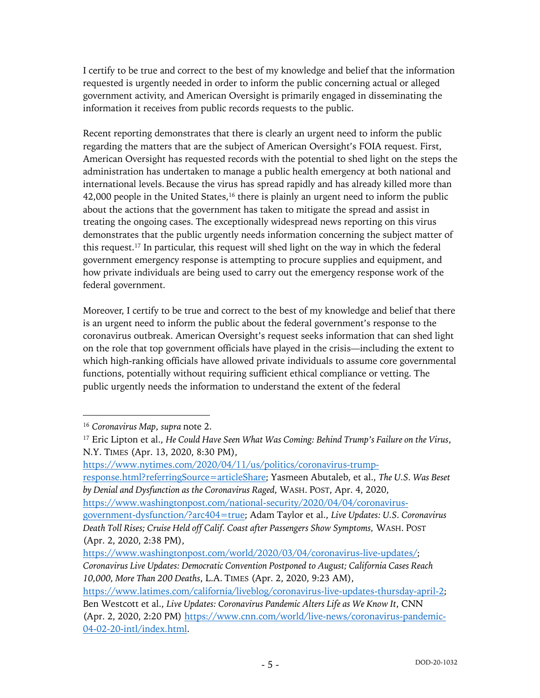I certify to be true and correct to the best of my knowledge and belief that the information requested is urgently needed in order to inform the public concerning actual or alleged government activity, and American Oversight is primarily engaged in disseminating the information it receives from public records requests to the public.

Recent reporting demonstrates that there is clearly an urgent need to inform the public regarding the matters that are the subject of American Oversight's FOIA request. First, American Oversight has requested records with the potential to shed light on the steps the administration has undertaken to manage a public health emergency at both national and international levels. Because the virus has spread rapidly and has already killed more than 42,000 people in the United States, $16$  there is plainly an urgent need to inform the public about the actions that the government has taken to mitigate the spread and assist in treating the ongoing cases. The exceptionally widespread news reporting on this virus demonstrates that the public urgently needs information concerning the subject matter of this request.17 In particular, this request will shed light on the way in which the federal government emergency response is attempting to procure supplies and equipment, and how private individuals are being used to carry out the emergency response work of the federal government.

Moreover, I certify to be true and correct to the best of my knowledge and belief that there is an urgent need to inform the public about the federal government's response to the coronavirus outbreak. American Oversight's request seeks information that can shed light on the role that top government officials have played in the crisis—including the extent to which high-ranking officials have allowed private individuals to assume core governmental functions, potentially without requiring sufficient ethical compliance or vetting. The public urgently needs the information to understand the extent of the federal

https://www.nytimes.com/2020/04/11/us/politics/coronavirus-trump-

response.html?referringSource=articleShare; Yasmeen Abutaleb, et al., *The U.S. Was Beset by Denial and Dysfunction as the Coronavirus Raged*, WASH. POST, Apr. 4, 2020,

https://www.washingtonpost.com/national-security/2020/04/04/coronavirus-

government-dysfunction/?arc404=true; Adam Taylor et al., *Live Updates: U.S. Coronavirus Death Toll Rises; Cruise Held off Calif. Coast after Passengers Show Symptoms,* WASH. POST (Apr. 2, 2020, 2:38 PM),

*10,000, More Than 200 Deaths*, L.A. TIMES (Apr. 2, 2020, 9:23 AM),

<sup>16</sup> *Coronavirus Map*, *supra* note 2.

<sup>17</sup> Eric Lipton et al., *He Could Have Seen What Was Coming: Behind Trump's Failure on the Virus*, N.Y. TIMES (Apr. 13, 2020, 8:30 PM),

https://www.washingtonpost.com/world/2020/03/04/coronavirus-live-updates/; *Coronavirus Live Updates: Democratic Convention Postponed to August; California Cases Reach* 

https://www.latimes.com/california/liveblog/coronavirus-live-updates-thursday-april-2; Ben Westcott et al., *Live Updates: Coronavirus Pandemic Alters Life as We Know It*, CNN (Apr. 2, 2020, 2:20 PM) https://www.cnn.com/world/live-news/coronavirus-pandemic-04-02-20-intl/index.html.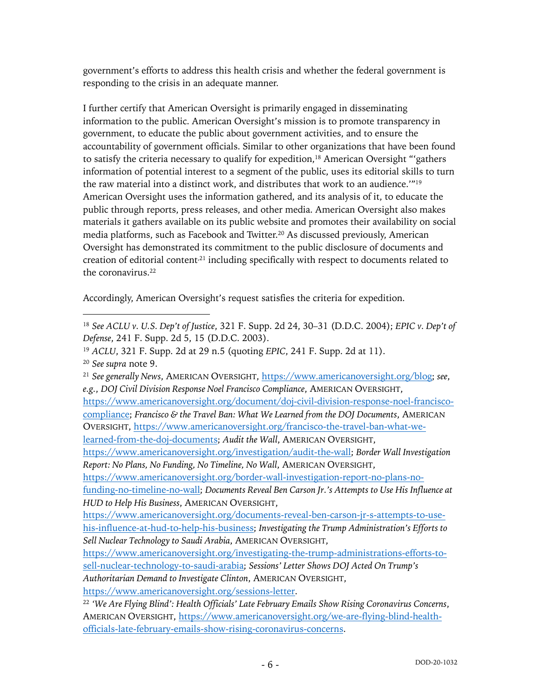government's efforts to address this health crisis and whether the federal government is responding to the crisis in an adequate manner.

I further certify that American Oversight is primarily engaged in disseminating information to the public. American Oversight's mission is to promote transparency in government, to educate the public about government activities, and to ensure the accountability of government officials. Similar to other organizations that have been found to satisfy the criteria necessary to qualify for expedition,<sup>18</sup> American Oversight "'gathers information of potential interest to a segment of the public, uses its editorial skills to turn the raw material into a distinct work, and distributes that work to an audience.'"19 American Oversight uses the information gathered, and its analysis of it, to educate the public through reports, press releases, and other media. American Oversight also makes materials it gathers available on its public website and promotes their availability on social media platforms, such as Facebook and Twitter.20 As discussed previously, American Oversight has demonstrated its commitment to the public disclosure of documents and creation of editorial content<sup>21</sup> including specifically with respect to documents related to the coronavirus.22

Accordingly, American Oversight's request satisfies the criteria for expedition.

<sup>18</sup> *See ACLU v. U.S. Dep't of Justice*, 321 F. Supp. 2d 24, 30–31 (D.D.C. 2004); *EPIC v. Dep't of Defense*, 241 F. Supp. 2d 5, 15 (D.D.C. 2003).

<sup>19</sup> *ACLU*, 321 F. Supp. 2d at 29 n.5 (quoting *EPIC*, 241 F. Supp. 2d at 11). <sup>20</sup> *See supra* note 9.

<sup>21</sup> *See generally News*, AMERICAN OVERSIGHT, https://www.americanoversight.org/blog; *see*, *e.g.*, *DOJ Civil Division Response Noel Francisco Compliance*, AMERICAN OVERSIGHT,

https://www.americanoversight.org/document/doj-civil-division-response-noel-franciscocompliance; *Francisco & the Travel Ban: What We Learned from the DOJ Documents*, AMERICAN OVERSIGHT, https://www.americanoversight.org/francisco-the-travel-ban-what-we-

learned-from-the-doj-documents; *Audit the Wall*, AMERICAN OVERSIGHT,

https://www.americanoversight.org/investigation/audit-the-wall; *Border Wall Investigation Report: No Plans, No Funding, No Timeline, No Wall*, AMERICAN OVERSIGHT,

https://www.americanoversight.org/border-wall-investigation-report-no-plans-nofunding-no-timeline-no-wall; *Documents Reveal Ben Carson Jr.'s Attempts to Use His Influence at* 

*HUD to Help His Business*, AMERICAN OVERSIGHT,

https://www.americanoversight.org/documents-reveal-ben-carson-jr-s-attempts-to-usehis-influence-at-hud-to-help-his-business; *Investigating the Trump Administration's Efforts to Sell Nuclear Technology to Saudi Arabia*, AMERICAN OVERSIGHT,

https://www.americanoversight.org/investigating-the-trump-administrations-efforts-tosell-nuclear-technology-to-saudi-arabia; *Sessions' Letter Shows DOJ Acted On Trump's* 

*Authoritarian Demand to Investigate Clinton*, AMERICAN OVERSIGHT,

https://www.americanoversight.org/sessions-letter.

<sup>22</sup> *'We Are Flying Blind': Health Officials' Late February Emails Show Rising Coronavirus Concerns*, AMERICAN OVERSIGHT, https://www.americanoversight.org/we-are-flying-blind-healthofficials-late-february-emails-show-rising-coronavirus-concerns.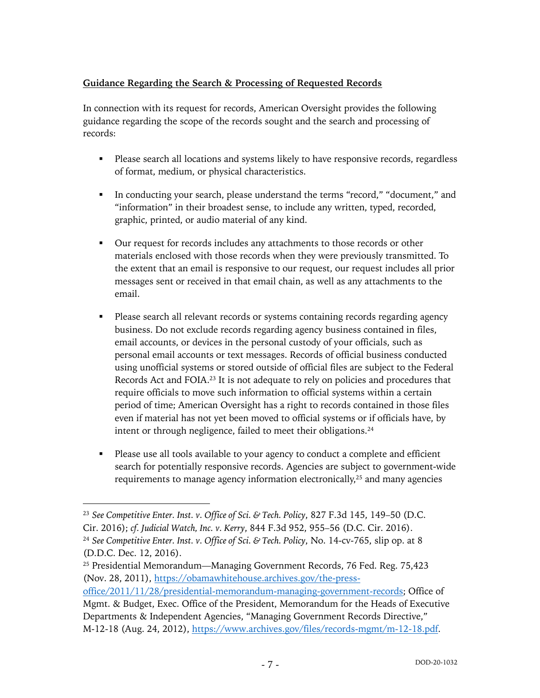# **Guidance Regarding the Search & Processing of Requested Records**

In connection with its request for records, American Oversight provides the following guidance regarding the scope of the records sought and the search and processing of records:

- Please search all locations and systems likely to have responsive records, regardless of format, medium, or physical characteristics.
- § In conducting your search, please understand the terms "record," "document," and "information" in their broadest sense, to include any written, typed, recorded, graphic, printed, or audio material of any kind.
- Our request for records includes any attachments to those records or other materials enclosed with those records when they were previously transmitted. To the extent that an email is responsive to our request, our request includes all prior messages sent or received in that email chain, as well as any attachments to the email.
- Please search all relevant records or systems containing records regarding agency business. Do not exclude records regarding agency business contained in files, email accounts, or devices in the personal custody of your officials, such as personal email accounts or text messages. Records of official business conducted using unofficial systems or stored outside of official files are subject to the Federal Records Act and FOIA.23 It is not adequate to rely on policies and procedures that require officials to move such information to official systems within a certain period of time; American Oversight has a right to records contained in those files even if material has not yet been moved to official systems or if officials have, by intent or through negligence, failed to meet their obligations.<sup>24</sup>
- Please use all tools available to your agency to conduct a complete and efficient search for potentially responsive records. Agencies are subject to government-wide requirements to manage agency information electronically,<sup>25</sup> and many agencies

<sup>23</sup> *See Competitive Enter. Inst. v. Office of Sci. & Tech. Policy*, 827 F.3d 145, 149–50 (D.C. Cir. 2016); *cf. Judicial Watch, Inc. v. Kerry*, 844 F.3d 952, 955–56 (D.C. Cir. 2016). <sup>24</sup> *See Competitive Enter. Inst. v. Office of Sci. & Tech. Policy*, No. 14-cv-765, slip op. at 8 (D.D.C. Dec. 12, 2016).

<sup>25</sup> Presidential Memorandum—Managing Government Records, 76 Fed. Reg. 75,423 (Nov. 28, 2011), https://obamawhitehouse.archives.gov/the-press-

office/2011/11/28/presidential-memorandum-managing-government-records; Office of Mgmt. & Budget, Exec. Office of the President, Memorandum for the Heads of Executive Departments & Independent Agencies, "Managing Government Records Directive," M-12-18 (Aug. 24, 2012), https://www.archives.gov/files/records-mgmt/m-12-18.pdf.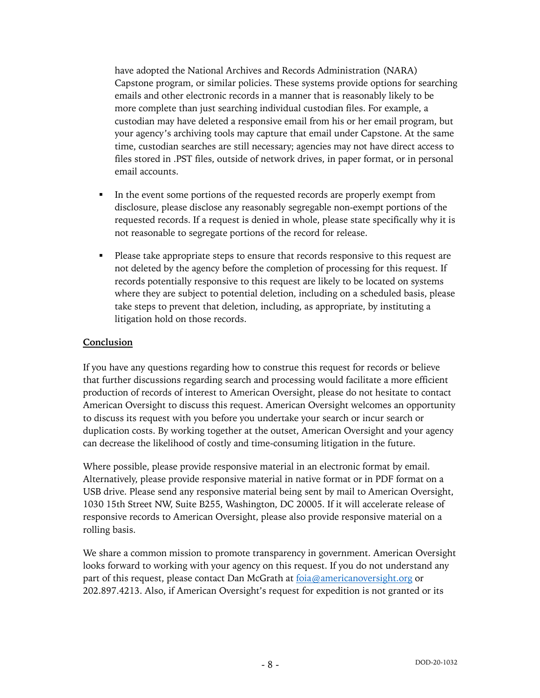have adopted the National Archives and Records Administration (NARA) Capstone program, or similar policies. These systems provide options for searching emails and other electronic records in a manner that is reasonably likely to be more complete than just searching individual custodian files. For example, a custodian may have deleted a responsive email from his or her email program, but your agency's archiving tools may capture that email under Capstone. At the same time, custodian searches are still necessary; agencies may not have direct access to files stored in .PST files, outside of network drives, in paper format, or in personal email accounts.

- In the event some portions of the requested records are properly exempt from disclosure, please disclose any reasonably segregable non-exempt portions of the requested records. If a request is denied in whole, please state specifically why it is not reasonable to segregate portions of the record for release.
- Please take appropriate steps to ensure that records responsive to this request are not deleted by the agency before the completion of processing for this request. If records potentially responsive to this request are likely to be located on systems where they are subject to potential deletion, including on a scheduled basis, please take steps to prevent that deletion, including, as appropriate, by instituting a litigation hold on those records.

### **Conclusion**

If you have any questions regarding how to construe this request for records or believe that further discussions regarding search and processing would facilitate a more efficient production of records of interest to American Oversight, please do not hesitate to contact American Oversight to discuss this request. American Oversight welcomes an opportunity to discuss its request with you before you undertake your search or incur search or duplication costs. By working together at the outset, American Oversight and your agency can decrease the likelihood of costly and time-consuming litigation in the future.

Where possible, please provide responsive material in an electronic format by email. Alternatively, please provide responsive material in native format or in PDF format on a USB drive. Please send any responsive material being sent by mail to American Oversight, 1030 15th Street NW, Suite B255, Washington, DC 20005. If it will accelerate release of responsive records to American Oversight, please also provide responsive material on a rolling basis.

We share a common mission to promote transparency in government. American Oversight looks forward to working with your agency on this request. If you do not understand any part of this request, please contact Dan McGrath at foia@americanoversight.org or 202.897.4213. Also, if American Oversight's request for expedition is not granted or its